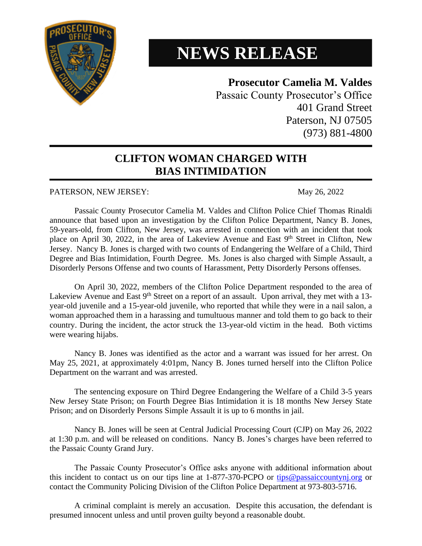

## **NEWS RELEASE**

## **Prosecutor Camelia M. Valdes**

Passaic County Prosecutor's Office 401 Grand Street Paterson, NJ 07505 (973) 881-4800

## **CLIFTON WOMAN CHARGED WITH BIAS INTIMIDATION**

## PATERSON, NEW JERSEY: May 26, 2022

Passaic County Prosecutor Camelia M. Valdes and Clifton Police Chief Thomas Rinaldi announce that based upon an investigation by the Clifton Police Department, Nancy B. Jones, 59-years-old, from Clifton, New Jersey, was arrested in connection with an incident that took place on April 30, 2022, in the area of Lakeview Avenue and East 9<sup>th</sup> Street in Clifton, New Jersey. Nancy B. Jones is charged with two counts of Endangering the Welfare of a Child, Third Degree and Bias Intimidation, Fourth Degree. Ms. Jones is also charged with Simple Assault, a Disorderly Persons Offense and two counts of Harassment, Petty Disorderly Persons offenses.

On April 30, 2022, members of the Clifton Police Department responded to the area of Lakeview Avenue and East 9<sup>th</sup> Street on a report of an assault. Upon arrival, they met with a 13year-old juvenile and a 15-year-old juvenile, who reported that while they were in a nail salon, a woman approached them in a harassing and tumultuous manner and told them to go back to their country. During the incident, the actor struck the 13-year-old victim in the head. Both victims were wearing hijabs.

Nancy B. Jones was identified as the actor and a warrant was issued for her arrest. On May 25, 2021, at approximately 4:01pm, Nancy B. Jones turned herself into the Clifton Police Department on the warrant and was arrested.

The sentencing exposure on Third Degree Endangering the Welfare of a Child 3-5 years New Jersey State Prison; on Fourth Degree Bias Intimidation it is 18 months New Jersey State Prison; and on Disorderly Persons Simple Assault it is up to 6 months in jail.

Nancy B. Jones will be seen at Central Judicial Processing Court (CJP) on May 26, 2022 at 1:30 p.m. and will be released on conditions. Nancy B. Jones's charges have been referred to the Passaic County Grand Jury.

The Passaic County Prosecutor's Office asks anyone with additional information about this incident to contact us on our tips line at 1-877-370-PCPO or [tips@passaiccountynj.org](mailto:tips@passaiccountynj.org) or contact the Community Policing Division of the Clifton Police Department at 973-803-5716.

A criminal complaint is merely an accusation. Despite this accusation, the defendant is presumed innocent unless and until proven guilty beyond a reasonable doubt.